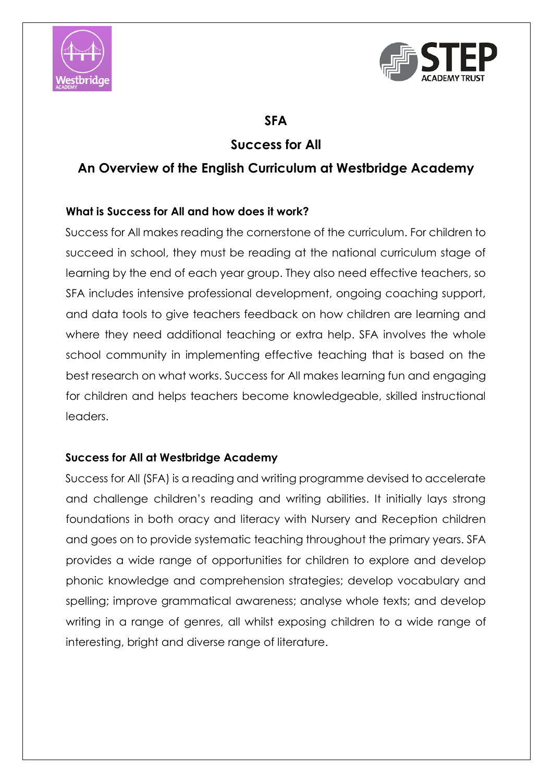



# **SFA**

# **Success for All**

# **An Overview of the English Curriculum at Westbridge Academy**

# **What is Success for All and how does it work?**

Success for All makes reading the cornerstone of the curriculum. For children to succeed in school, they must be reading at the national curriculum stage of learning by the end of each year group. They also need effective teachers, so SFA includes intensive professional development, ongoing coaching support, and data tools to give teachers feedback on how children are learning and where they need additional teaching or extra help. SFA involves the whole school community in implementing effective teaching that is based on the best research on what works. Success for All makes learning fun and engaging for children and helps teachers become knowledgeable, skilled instructional leaders.

# **Success for All at Westbridge Academy**

Success for All (SFA) is a reading and writing programme devised to accelerate and challenge children's reading and writing abilities. It initially lays strong foundations in both oracy and literacy with Nursery and Reception children and goes on to provide systematic teaching throughout the primary years. SFA provides a wide range of opportunities for children to explore and develop phonic knowledge and comprehension strategies; develop vocabulary and spelling; improve grammatical awareness; analyse whole texts; and develop writing in a range of genres, all whilst exposing children to a wide range of interesting, bright and diverse range of literature.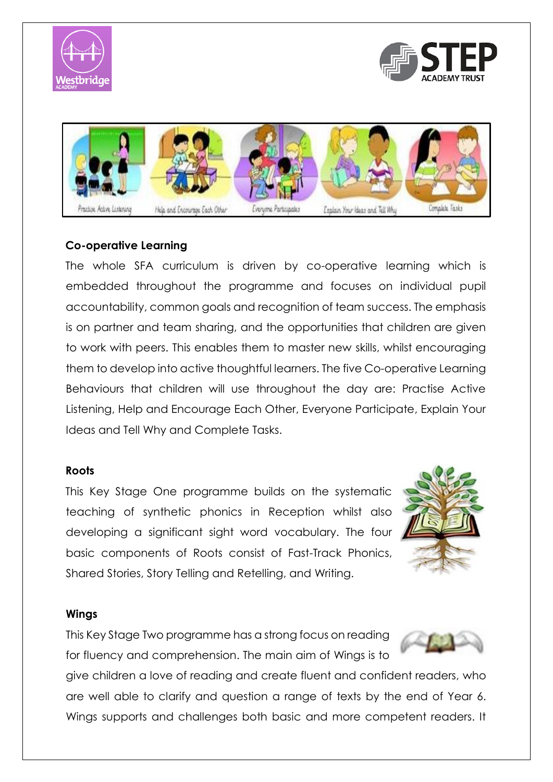





## **Co-operative Learning**

The whole SFA curriculum is driven by co-operative learning which is embedded throughout the programme and focuses on individual pupil accountability, common goals and recognition of team success. The emphasis is on partner and team sharing, and the opportunities that children are given to work with peers. This enables them to master new skills, whilst encouraging them to develop into active thoughtful learners. The five Co-operative Learning Behaviours that children will use throughout the day are: Practise Active Listening, Help and Encourage Each Other, Everyone Participate, Explain Your Ideas and Tell Why and Complete Tasks.

#### **Roots**

This Key Stage One programme builds on the systematic teaching of synthetic phonics in Reception whilst also developing a significant sight word vocabulary. The four basic components of Roots consist of Fast-Track Phonics, Shared Stories, Story Telling and Retelling, and Writing.



#### **Wings**

This Key Stage Two programme has a strong focus on reading for fluency and comprehension. The main aim of Wings is to



give children a love of reading and create fluent and confident readers, who are well able to clarify and question a range of texts by the end of Year 6. Wings supports and challenges both basic and more competent readers. It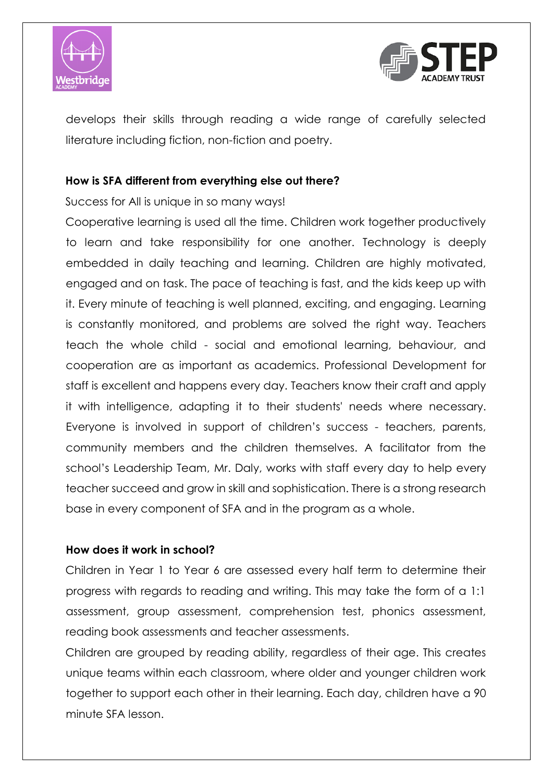



develops their skills through reading a wide range of carefully selected literature including fiction, non-fiction and poetry.

### **How is SFA different from everything else out there?**

Success for All is unique in so many ways!

Cooperative learning is used all the time. Children work together productively to learn and take responsibility for one another. Technology is deeply embedded in daily teaching and learning. Children are highly motivated, engaged and on task. The pace of teaching is fast, and the kids keep up with it. Every minute of teaching is well planned, exciting, and engaging. Learning is constantly monitored, and problems are solved the right way. Teachers teach the whole child - social and emotional learning, behaviour, and cooperation are as important as academics. Professional Development for staff is excellent and happens every day. Teachers know their craft and apply it with intelligence, adapting it to their students' needs where necessary. Everyone is involved in support of children's success - teachers, parents, community members and the children themselves. A facilitator from the school's Leadership Team, Mr. Daly, works with staff every day to help every teacher succeed and grow in skill and sophistication. There is a strong research base in every component of SFA and in the program as a whole.

# **How does it work in school?**

Children in Year 1 to Year 6 are assessed every half term to determine their progress with regards to reading and writing. This may take the form of a 1:1 assessment, group assessment, comprehension test, phonics assessment, reading book assessments and teacher assessments.

Children are grouped by reading ability, regardless of their age. This creates unique teams within each classroom, where older and younger children work together to support each other in their learning. Each day, children have a 90 minute SFA lesson.